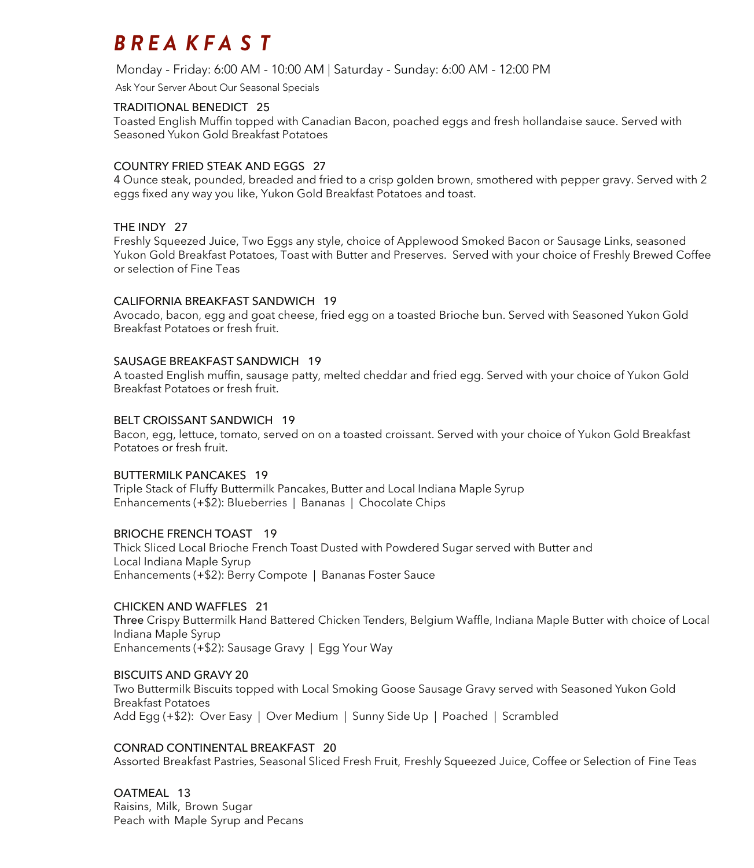## *BREA KFA S T*

Monday - Friday: 6:00 AM - 10:00 AM | Saturday - Sunday: 6:00 AM - 12:00 PM

Ask Your Server About Our Seasonal Specials

#### TRADITIONAL BENEDICT 25

Toasted English Muffin topped with Canadian Bacon, poached eggs and fresh hollandaise sauce. Served with Seasoned Yukon Gold Breakfast Potatoes

#### COUNTRY FRIED STEAK AND EGGS 27

4 Ounce steak, pounded, breaded and fried to a crisp golden brown, smothered with pepper gravy. Served with 2 eggs fixed any way you like, Yukon Gold Breakfast Potatoes and toast.

#### THE INDY 27

Freshly Squeezed Juice, Two Eggs any style, choice of Applewood Smoked Bacon or Sausage Links, seasoned Yukon Gold Breakfast Potatoes, Toast with Butter and Preserves. Served with your choice of Freshly Brewed Coffee or selection of Fine Teas

#### CALIFORNIA BREAKFAST SANDWICH 19

Avocado, bacon, egg and goat cheese, fried egg on a toasted Brioche bun. Served with Seasoned Yukon Gold Breakfast Potatoes or fresh fruit.

#### SAUSAGE BREAKFAST SANDWICH 19

A toasted English muffin, sausage patty, melted cheddar and fried egg. Served with your choice of Yukon Gold Breakfast Potatoes or fresh fruit.

#### BELT CROISSANT SANDWICH 19

Bacon, egg, lettuce, tomato, served on on a toasted croissant. Served with your choice of Yukon Gold Breakfast Potatoes or fresh fruit.

#### BUTTERMILK PANCAKES 19

Triple Stack of Fluffy Buttermilk Pancakes, Butter and Local Indiana Maple Syrup Enhancements (+\$2): Blueberries | Bananas | Chocolate Chips

#### BRIOCHE FRENCH TOAST 19

Thick Sliced Local Brioche French Toast Dusted with Powdered Sugar served with Butter and Local Indiana Maple Syrup Enhancements (+\$2): Berry Compote | Bananas Foster Sauce

#### CHICKEN AND WAFFLES 21

Three Crispy Buttermilk Hand Battered Chicken Tenders, Belgium Waffle, Indiana Maple Butter with choice of Local Indiana Maple Syrup Enhancements (+\$2): Sausage Gravy | Egg Your Way

#### BISCUITS AND GRAVY 20

Two Buttermilk Biscuits topped with Local Smoking Goose Sausage Gravy served with Seasoned Yukon Gold Breakfast Potatoes Add Egg (+\$2): Over Easy | Over Medium | Sunny Side Up | Poached | Scrambled

#### CONRAD CONTINENTAL BREAKFAST 20

Assorted Breakfast Pastries, Seasonal Sliced Fresh Fruit, Freshly Squeezed Juice, Coffee or Selection of Fine Teas

OATMEAL 13 Raisins, Milk, Brown Sugar Peach with Maple Syrup and Pecans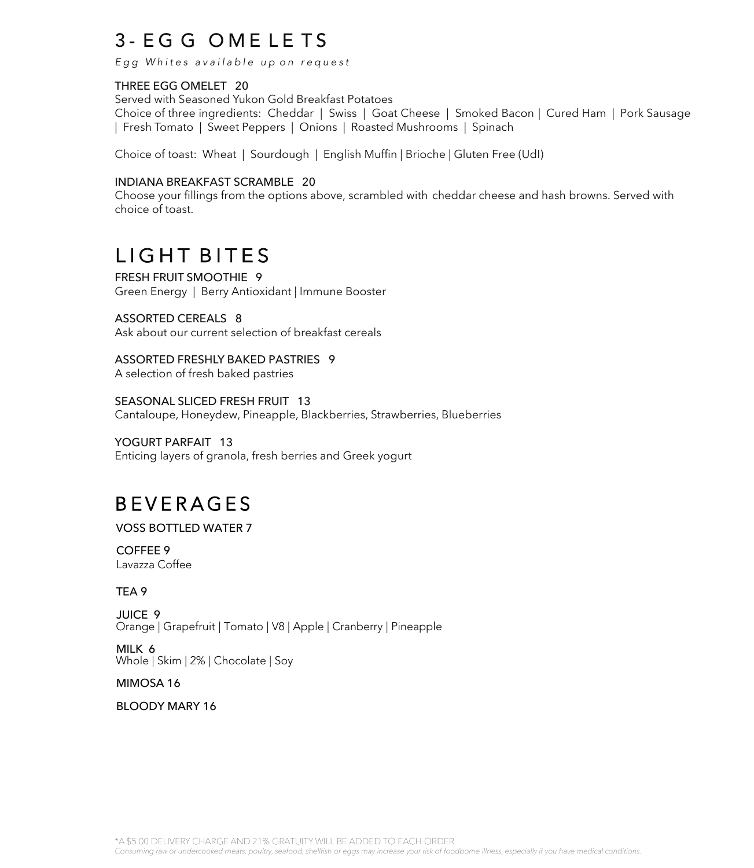## 3 - EGG OMELETS

Egg Whites available up on request

#### THREE EGG OMELET 20

Served with Seasoned Yukon Gold Breakfast Potatoes Choice of three ingredients: Cheddar | Swiss | Goat Cheese | Smoked Bacon | Cured Ham | Pork Sausage | Fresh Tomato | Sweet Peppers | Onions | Roasted Mushrooms | Spinach

Choice of toast: Wheat | Sourdough | English Muffin | Brioche | Gluten Free (UdI)

#### INDIANA BREAKFAST SCRAMBLE 20

Choose your fillings from the options above, scrambled with cheddar cheese and hash browns. Served with choice of toast.

## LIGHT BITES

FRESH FRUIT SMOOTHIE 9 Green Energy | Berry Antioxidant | Immune Booster

#### ASSORTED CEREALS 8

Ask about our current selection of breakfast cereals

ASSORTED FRESHLY BAKED PASTRIES 9

A selection of fresh baked pastries

SEASONAL SLICED FRESH FRUIT 13 Cantaloupe, Honeydew, Pineapple, Blackberries, Strawberries, Blueberries

YOGURT PARFAIT 13 Enticing layers of granola, fresh berries and Greek yogurt

## **BEVERAGES**

#### VOSS BOTTLED WATER 7

COFFEE 9 Lavazza Coffee

#### TEA 9

JUICE 9 Orange | Grapefruit | Tomato | V8 | Apple | Cranberry | Pineapple

MILK 6 Whole | Skim | 2% | Chocolate | Soy

#### MIMOSA 16

BLOODY MARY 16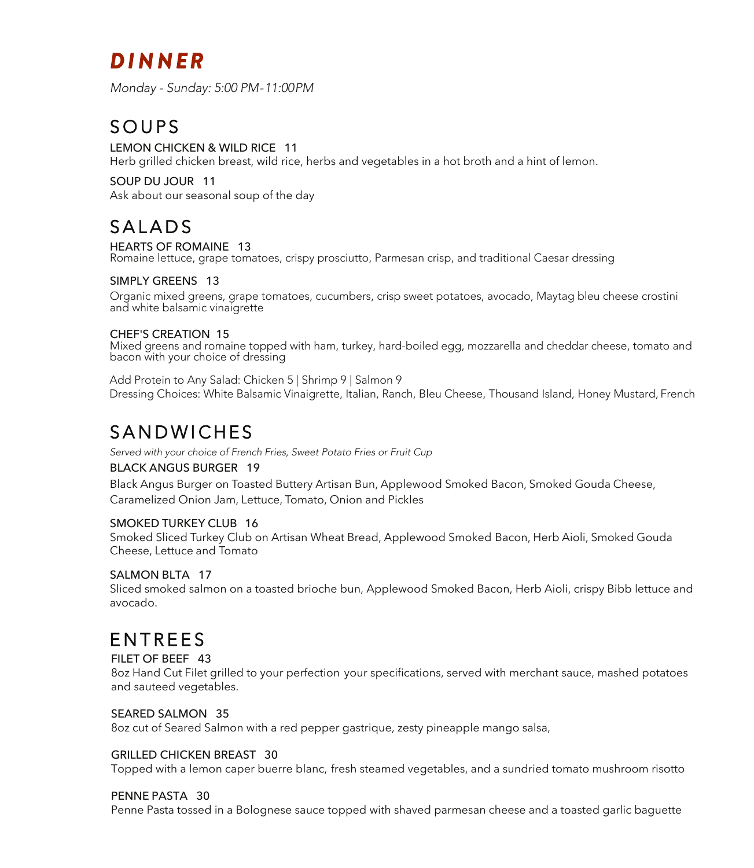# *DI N NER*

Monday - Sunday: 5:00 PM - 11:00 PM

## **SOUPS**

#### LEMON CHICKEN & WILD RICE 11

Herb grilled chicken breast, wild rice, herbs and vegetables in a hot broth and a hint of lemon.

SOUP DU JOUR 11 Ask about our seasonal soup of the day

### SALADS

#### HEARTS OF ROMAINE 13

Romaine lettuce, grape tomatoes, crispy prosciutto, Parmesan crisp, and traditional Caesar dressing

#### SIMPLY GREENS 13

Organic mixed greens, grape tomatoes, cucumbers, crisp sweet potatoes, avocado, Maytag bleu cheese crostini and white balsamic vinaigrette

#### CHEF'S CREATION 15

Mixed greens and romaine topped with ham, turkey, hard-boiled egg, mozzarella and cheddar cheese, tomato and bacon with your choice of dressing

Add Protein to Any Salad: Chicken 5 | Shrimp 9 | Salmon 9 Dressing Choices: White Balsamic Vinaigrette, Italian, Ranch, Bleu Cheese, Thousand Island, Honey Mustard, French

## SANDWICHES

Served with your choice of French Fries, Sweet Potato Fries or Fruit Cup

#### BLACK ANGUS BURGER 19

Black Angus Burger on Toasted Buttery Artisan Bun, Applewood Smoked Bacon, Smoked Gouda Cheese, Caramelized Onion Jam, Lettuce, Tomato, Onion and Pickles

#### SMOKED TURKEY CLUB 16

Smoked Sliced Turkey Club on Artisan Wheat Bread, Applewood Smoked Bacon, Herb Aioli, Smoked Gouda Cheese, Lettuce and Tomato

#### SALMON BLTA 17

Sliced smoked salmon on a toasted brioche bun, Applewood Smoked Bacon, Herb Aioli, crispy Bibb lettuce and avocado.

## **FNTRFFS**

#### FILET OF BEEF 43

8oz Hand Cut Filet grilled to your perfection your specifications, served with merchant sauce, mashed potatoes and sauteed vegetables.

#### SEARED SALMON 35

8oz cut of Seared Salmon with a red pepper gastrique, zesty pineapple mango salsa,

#### GRILLED CHICKEN BREAST 30

Topped with a lemon caper buerre blanc, fresh steamed vegetables, and a sundried tomato mushroom risotto

#### PENNE PASTA 30

Penne Pasta tossed in a Bolognese sauce topped with shaved parmesan cheese and a toasted garlic baguette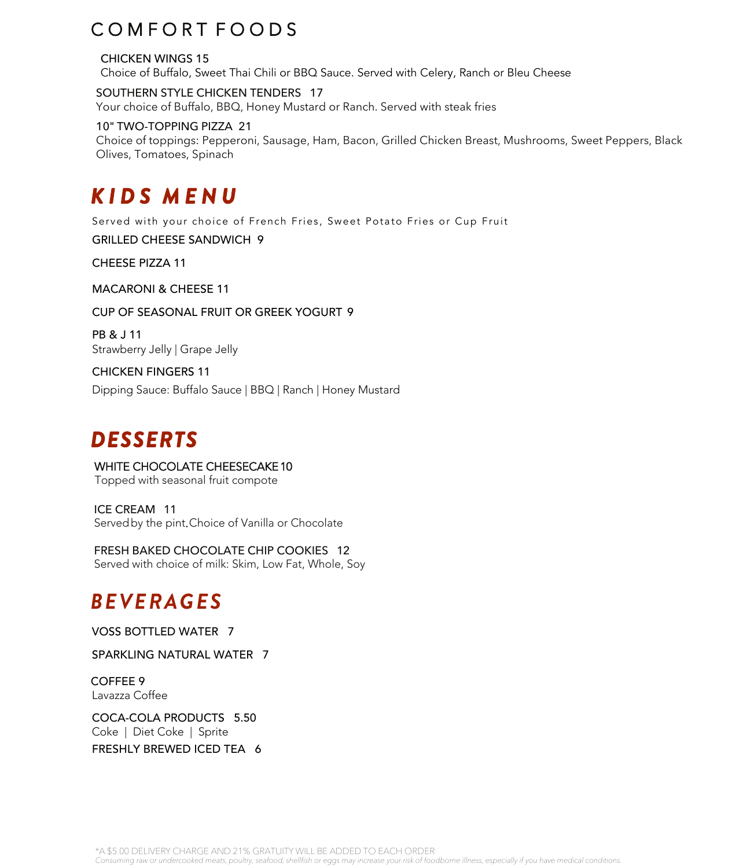## COMFORT FOODS

CHICKEN WINGS 15 Choice of Buffalo, Sweet Thai Chili or BBQ Sauce. Served with Celery, Ranch or Bleu Cheese

SOUTHERN STYLE CHICKEN TENDERS 17 Your choice of Buffalo, BBQ, Honey Mustard or Ranch. Served with steak fries

#### 10" TWO-TOPPING PIZZA 21

Choice of toppings: Pepperoni, Sausage, Ham, Bacon, Grilled Chicken Breast, Mushrooms, Sweet Peppers, Black Olives, Tomatoes, Spinach

# *KID S M E N U*

Served with your choice of French Fries, Sweet Potato Fries or Cup Fruit

GRILLED CHEESE SANDWICH 9

CHEESE PIZZA 11

MACARONI & CHEESE 11

CUP OF SEASONAL FRUIT OR GREEK YOGURT 9

PB & J 11 Strawberry Jelly | Grape Jelly

CHICKEN FINGERS 11 Dipping Sauce: Buffalo Sauce | BBQ | Ranch | Honey Mustard

# *DESSERTS*

WHITE CHOCOLATE CHEESECAKE 10 Topped with seasonal fruit compote

ICE CREAM 11 Served by the pint. Choice of Vanilla or Chocolate

FRESH BAKED CHOCOLATE CHIP COOKIES 12 Served with choice of milk: Skim, Low Fat, Whole, Soy

## *BEVERAGES*

VOSS BOTTLED WATER 7

SPARKLING NATURAL WATER 7

COFFEE 9 Lavazza Coffee

COCA-COLA PRODUCTS 5.50 Coke | Diet Coke | Sprite FRESHLY BREWED ICED TEA 6